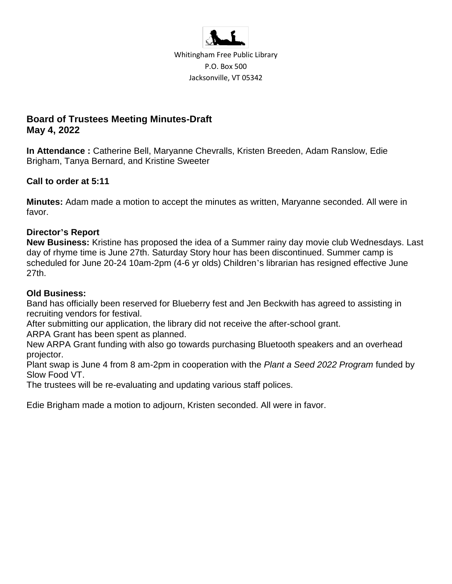

Whitingham Free Public Library P.O. Box 500 Jacksonville, VT 05342

# **Board of Trustees Meeting Minutes-Draft May 4, 2022**

**In Attendance :** Catherine Bell, Maryanne Chevralls, Kristen Breeden, Adam Ranslow, Edie Brigham, Tanya Bernard, and Kristine Sweeter

## **Call to order at 5:11**

**Minutes:** Adam made a motion to accept the minutes as written, Maryanne seconded. All were in favor.

## **Director's Report**

**New Business:** Kristine has proposed the idea of a Summer rainy day movie club Wednesdays. Last day of rhyme time is June 27th. Saturday Story hour has been discontinued. Summer camp is scheduled for June 20-24 10am-2pm (4-6 yr olds) Children's librarian has resigned effective June 27th.

## **Old Business:**

Band has officially been reserved for Blueberry fest and Jen Beckwith has agreed to assisting in recruiting vendors for festival.

After submitting our application, the library did not receive the after-school grant.

ARPA Grant has been spent as planned.

New ARPA Grant funding with also go towards purchasing Bluetooth speakers and an overhead projector.

Plant swap is June 4 from 8 am-2pm in cooperation with the *Plant a Seed 2022 Program* funded by Slow Food VT.

The trustees will be re-evaluating and updating various staff polices.

Edie Brigham made a motion to adjourn, Kristen seconded. All were in favor.